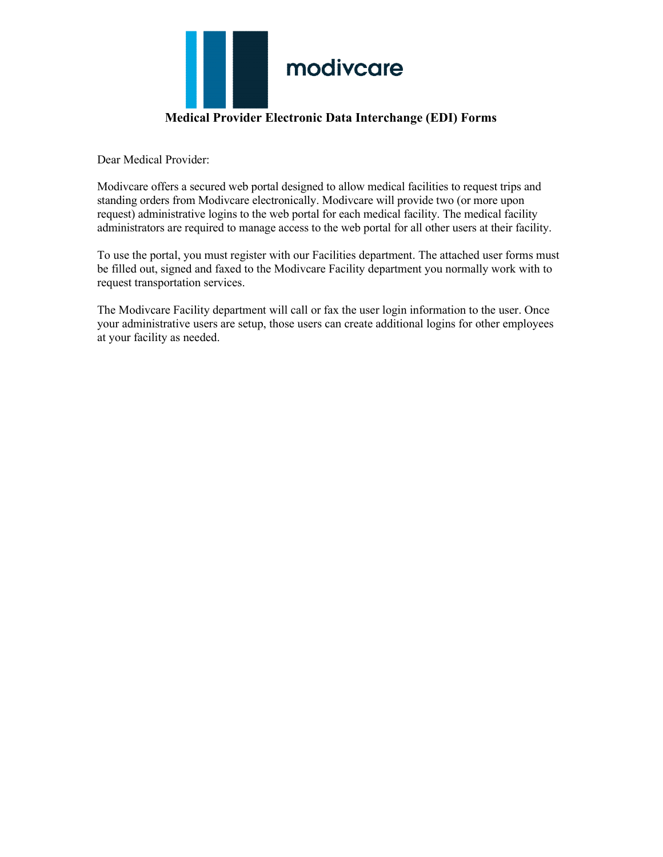

## **Medical Provider Electronic Data Interchange (EDI) Forms**

Dear Medical Provider:

Modivcare offers a secured web portal designed to allow medical facilities to request trips and standing orders from Modivcare electronically. Modivcare will provide two (or more upon request) administrative logins to the web portal for each medical facility. The medical facility administrators are required to manage access to the web portal for all other users at their facility.

To use the portal, you must register with our Facilities department. The attached user forms must be filled out, signed and faxed to the Modivcare Facility department you normally work with to request transportation services.

The Modivcare Facility department will call or fax the user login information to the user. Once your administrative users are setup, those users can create additional logins for other employees at your facility as needed.